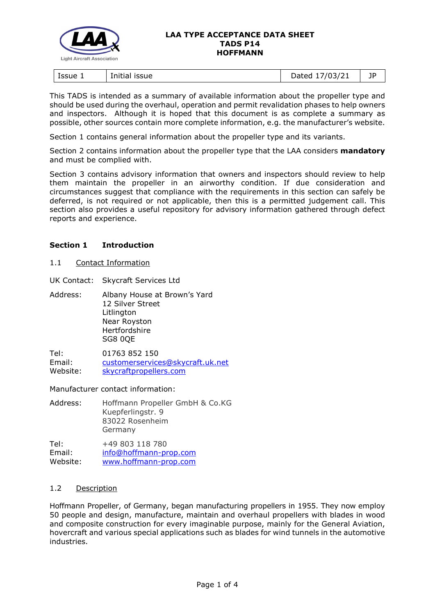

#### **LAA TYPE ACCEPTANCE DATA SHEET TADS P14 HOFFMANN**

| ssue 1<br>issue<br>Initial | 1021<br>.<br>07<br>ــ∠/د'<br>.,<br>2000 | --<br>ΙL<br>- 1 |
|----------------------------|-----------------------------------------|-----------------|
|----------------------------|-----------------------------------------|-----------------|

This TADS is intended as a summary of available information about the propeller type and should be used during the overhaul, operation and permit revalidation phases to help owners and inspectors. Although it is hoped that this document is as complete a summary as possible, other sources contain more complete information, e.g. the manufacturer's website.

Section 1 contains general information about the propeller type and its variants.

Section 2 contains information about the propeller type that the LAA considers **mandatory** and must be complied with.

Section 3 contains advisory information that owners and inspectors should review to help them maintain the propeller in an airworthy condition. If due consideration and circumstances suggest that compliance with the requirements in this section can safely be deferred, is not required or not applicable, then this is a permitted judgement call. This section also provides a useful repository for advisory information gathered through defect reports and experience.

## **Section 1 Introduction**

1.1 Contact Information

UK Contact: Skycraft Services Ltd

Address: Albany House at Brown's Yard 12 Silver Street Litlington Near Royston **Hertfordshire** SG8 0QE

Tel: 01763 852 150 Email: [customerservices@skycraft.uk.net](mailto:customerservices@skycraft.uk.net) Website: [skycraftpropellers.com](https://skycraftpropellers.com/)

Manufacturer contact information:

| Address: | Hoffmann Propeller GmbH & Co.KG |
|----------|---------------------------------|
|          | Kuepferlingstr. 9               |
|          | 83022 Rosenheim                 |
|          | Germany                         |
|          |                                 |

Tel: +49 803 118 780 Email: [info@hoffmann-prop.com](mailto:info@hoffmann-prop.com) Website: [www.hoffmann-prop.com](https://www.hoffmann-prop.com/en/1/Home)

## 1.2 Description

Hoffmann Propeller, of Germany, began manufacturing propellers in 1955. They now employ 50 people and design, manufacture, maintain and overhaul propellers with blades in wood and composite construction for every imaginable purpose, mainly for the General Aviation, hovercraft and various special applications such as blades for wind tunnels in the automotive industries.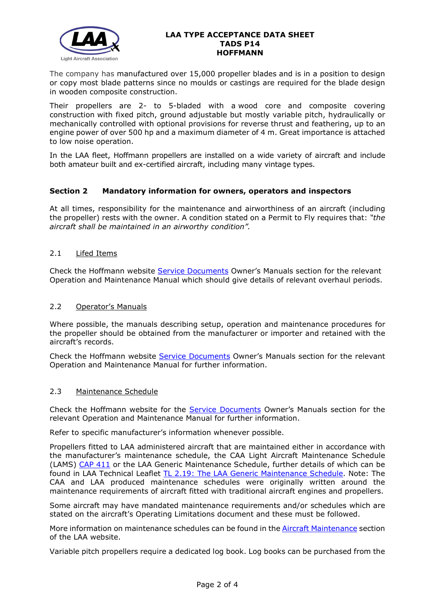

#### **LAA TYPE ACCEPTANCE DATA SHEET TADS P14 HOFFMANN**

The company has manufactured over 15,000 propeller blades and is in a position to design or copy most blade patterns since no moulds or castings are required for the blade design in wooden composite construction.

Their propellers are 2- to 5-bladed with a wood [core and composite covering](https://www.hoffmann-prop.com/en/18/Manufacture) [construction](https://www.hoffmann-prop.com/en/18/Manufacture) with fixed pitch, ground adjustable but mostly variable pitch, hydraulically or mechanically controlled with optional provisions for reverse thrust and feathering, up to an engine power of over 500 hp and a maximum diameter of 4 m. Great importance is attached to low noise operation.

In the LAA fleet, Hoffmann propellers are installed on a wide variety of aircraft and include both amateur built and ex-certified aircraft, including many vintage types.

# **Section 2 Mandatory information for owners, operators and inspectors**

At all times, responsibility for the maintenance and airworthiness of an aircraft (including the propeller) rests with the owner. A condition stated on a Permit to Fly requires that: *"the aircraft shall be maintained in an airworthy condition".* 

## 2.1 Lifed Items

Check the Hoffmann website [Service Documents](https://www.hoffmann-prop.com/en/24/Service_Documents) Owner's Manuals section for the relevant Operation and Maintenance Manual which should give details of relevant overhaul periods.

#### 2.2 Operator's Manuals

Where possible, the manuals describing setup, operation and maintenance procedures for the propeller should be obtained from the manufacturer or importer and retained with the aircraft's records.

Check the Hoffmann website [Service Documents](https://www.hoffmann-prop.com/en/24/Service_Documents) Owner's Manuals section for the relevant Operation and Maintenance Manual for further information.

## 2.3 Maintenance Schedule

Check the Hoffmann website for the [Service Documents](https://www.hoffmann-prop.com/en/24/Service_Documents) Owner's Manuals section for the relevant Operation and Maintenance Manual for further information.

Refer to specific manufacturer's information whenever possible.

Propellers fitted to LAA administered aircraft that are maintained either in accordance with the manufacturer's maintenance schedule, the CAA Light Aircraft Maintenance Schedule (LAMS) [CAP 411](http://www.caa.co.uk/CAP411) or the LAA Generic Maintenance Schedule, further details of which can be found in LAA Technical Leaflet [TL 2.19: The LAA Generic Maintenance Schedule.](http://www.lightaircraftassociation.co.uk/engineering/TechnicalLeaflets/Operating%20An%20Aircraft/TL%202.19%20The%20LAA%20Generic%20Maintenance%20Schedule.pdf) Note: The CAA and LAA produced maintenance schedules were originally written around the maintenance requirements of aircraft fitted with traditional aircraft engines and propellers.

Some aircraft may have mandated maintenance requirements and/or schedules which are stated on the aircraft's Operating Limitations document and these must be followed.

More information on maintenance schedules can be found in the [Aircraft Maintenance](http://www.lightaircraftassociation.co.uk/engineering/Maintenance/Aircraft_Maintenance.html) section of the LAA website.

Variable pitch propellers require a dedicated log book. Log books can be purchased from the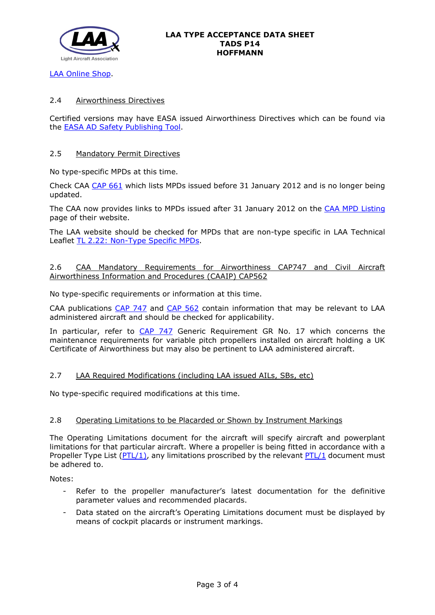

[LAA Online Shop.](https://services.lightaircraftassociation.co.uk/catalog/265)

## 2.4 Airworthiness Directives

Certified versions may have EASA issued Airworthiness Directives which can be found via the [EASA AD Safety Publishing Tool.](https://ad.easa.europa.eu/search/advanced)

## 2.5 Mandatory Permit Directives

No type-specific MPDs at this time.

Check CAA [CAP 661](http://www.caa.co.uk/cap661) which lists MPDs issued before 31 January 2012 and is no longer being updated.

The CAA now provides links to MPDs issued after 31 January 2012 on the [CAA MPD Listing](http://publicapps.caa.co.uk/modalapplication.aspx?appid=11&mode=list&type=sercat&id=55) page of their website.

The LAA website should be checked for MPDs that are non-type specific in LAA Technical Leaflet [TL 2.22: Non-Type Specific MPDs.](http://www.lightaircraftassociation.co.uk/engineering/TechnicalLeaflets/Operating%20An%20Aircraft/TL%202.22%20non-type%20specific%20MPDs.pdf)

## 2.6 CAA Mandatory Requirements for Airworthiness CAP747 and Civil Aircraft Airworthiness Information and Procedures (CAAIP) CAP562

No type-specific requirements or information at this time.

CAA publications [CAP 747](http://www.caa.co.uk/CAP747) and [CAP 562](http://www.caa.co.uk/CAP562) contain information that may be relevant to LAA administered aircraft and should be checked for applicability.

In particular, refer to [CAP 747](http://www.caa.co.uk/CAP747) Generic Requirement GR No. 17 which concerns the maintenance requirements for variable pitch propellers installed on aircraft holding a UK Certificate of Airworthiness but may also be pertinent to LAA administered aircraft.

## 2.7 LAA Required Modifications (including LAA issued AILs, SBs, etc)

No type-specific required modifications at this time.

## 2.8 Operating Limitations to be Placarded or Shown by Instrument Markings

The Operating Limitations document for the aircraft will specify aircraft and powerplant limitations for that particular aircraft. Where a propeller is being fitted in accordance with a Propeller Type List [\(PTL/1\)](http://www.lightaircraftassociation.co.uk/engineering/NewMods/PTL.html), any limitations proscribed by the relevant [PTL/1](http://www.lightaircraftassociation.co.uk/engineering/NewMods/PTL.html) document must be adhered to.

Notes:

- Refer to the propeller manufacturer's latest documentation for the definitive parameter values and recommended placards.
- Data stated on the aircraft's Operating Limitations document must be displayed by means of cockpit placards or instrument markings.